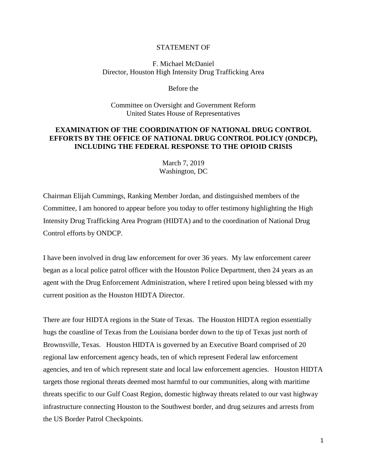## STATEMENT OF

## F. Michael McDaniel Director, Houston High Intensity Drug Trafficking Area

Before the

Committee on Oversight and Government Reform United States House of Representatives

## **EXAMINATION OF THE COORDINATION OF NATIONAL DRUG CONTROL EFFORTS BY THE OFFICE OF NATIONAL DRUG CONTROL POLICY (ONDCP), INCLUDING THE FEDERAL RESPONSE TO THE OPIOID CRISIS**

March 7, 2019 Washington, DC

Chairman Elijah Cummings, Ranking Member Jordan, and distinguished members of the Committee, I am honored to appear before you today to offer testimony highlighting the High Intensity Drug Trafficking Area Program (HIDTA) and to the coordination of National Drug Control efforts by ONDCP.

I have been involved in drug law enforcement for over 36 years. My law enforcement career began as a local police patrol officer with the Houston Police Department, then 24 years as an agent with the Drug Enforcement Administration, where I retired upon being blessed with my current position as the Houston HIDTA Director.

There are four HIDTA regions in the State of Texas. The Houston HIDTA region essentially hugs the coastline of Texas from the Louisiana border down to the tip of Texas just north of Brownsville, Texas. Houston HIDTA is governed by an Executive Board comprised of 20 regional law enforcement agency heads, ten of which represent Federal law enforcement agencies, and ten of which represent state and local law enforcement agencies. Houston HIDTA targets those regional threats deemed most harmful to our communities, along with maritime threats specific to our Gulf Coast Region, domestic highway threats related to our vast highway infrastructure connecting Houston to the Southwest border, and drug seizures and arrests from the US Border Patrol Checkpoints.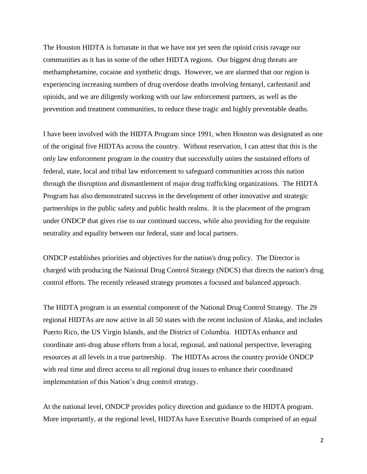The Houston HIDTA is fortunate in that we have not yet seen the opioid crisis ravage our communities as it has in some of the other HIDTA regions. Our biggest drug threats are methamphetamine, cocaine and synthetic drugs. However, we are alarmed that our region is experiencing increasing numbers of drug overdose deaths involving fentanyl, carfentanil and opioids, and we are diligently working with our law enforcement partners, as well as the prevention and treatment communities, to reduce these tragic and highly preventable deaths.

I have been involved with the HIDTA Program since 1991, when Houston was designated as one of the original five HIDTAs across the country. Without reservation, I can attest that this is the only law enforcement program in the country that successfully unites the sustained efforts of federal, state, local and tribal law enforcement to safeguard communities across this nation through the disruption and dismantlement of major drug trafficking organizations. The HIDTA Program has also demonstrated success in the development of other innovative and strategic partnerships in the public safety and public health realms. It is the placement of the program under ONDCP that gives rise to our continued success, while also providing for the requisite neutrality and equality between our federal, state and local partners.

ONDCP establishes priorities and objectives for the nation's drug policy. The Director is charged with producing the National Drug Control Strategy (NDCS) that directs the nation's drug control efforts. The recently released strategy promotes a focused and balanced approach.

The HIDTA program is an essential component of the National Drug Control Strategy. The 29 regional HIDTAs are now active in all 50 states with the recent inclusion of Alaska, and includes Puerto Rico, the US Virgin Islands, and the District of Columbia. HIDTAs enhance and coordinate anti-drug abuse efforts from a local, regional, and national perspective, leveraging resources at all levels in a true partnership. The HIDTAs across the country provide ONDCP with real time and direct access to all regional drug issues to enhance their coordinated implementation of this Nation's drug control strategy.

At the national level, ONDCP provides policy direction and guidance to the HIDTA program. More importantly, at the regional level, HIDTAs have Executive Boards comprised of an equal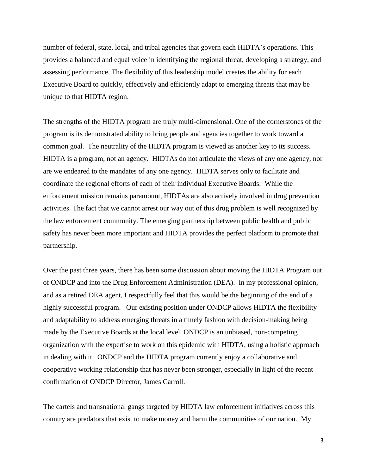number of federal, state, local, and tribal agencies that govern each HIDTA's operations. This provides a balanced and equal voice in identifying the regional threat, developing a strategy, and assessing performance. The flexibility of this leadership model creates the ability for each Executive Board to quickly, effectively and efficiently adapt to emerging threats that may be unique to that HIDTA region.

The strengths of the HIDTA program are truly multi-dimensional. One of the cornerstones of the program is its demonstrated ability to bring people and agencies together to work toward a common goal. The neutrality of the HIDTA program is viewed as another key to its success. HIDTA is a program, not an agency. HIDTAs do not articulate the views of any one agency, nor are we endeared to the mandates of any one agency. HIDTA serves only to facilitate and coordinate the regional efforts of each of their individual Executive Boards. While the enforcement mission remains paramount, HIDTAs are also actively involved in drug prevention activities. The fact that we cannot arrest our way out of this drug problem is well recognized by the law enforcement community. The emerging partnership between public health and public safety has never been more important and HIDTA provides the perfect platform to promote that partnership.

Over the past three years, there has been some discussion about moving the HIDTA Program out of ONDCP and into the Drug Enforcement Administration (DEA). In my professional opinion, and as a retired DEA agent, I respectfully feel that this would be the beginning of the end of a highly successful program. Our existing position under ONDCP allows HIDTA the flexibility and adaptability to address emerging threats in a timely fashion with decision-making being made by the Executive Boards at the local level. ONDCP is an unbiased, non-competing organization with the expertise to work on this epidemic with HIDTA, using a holistic approach in dealing with it. ONDCP and the HIDTA program currently enjoy a collaborative and cooperative working relationship that has never been stronger, especially in light of the recent confirmation of ONDCP Director, James Carroll.

The cartels and transnational gangs targeted by HIDTA law enforcement initiatives across this country are predators that exist to make money and harm the communities of our nation. My